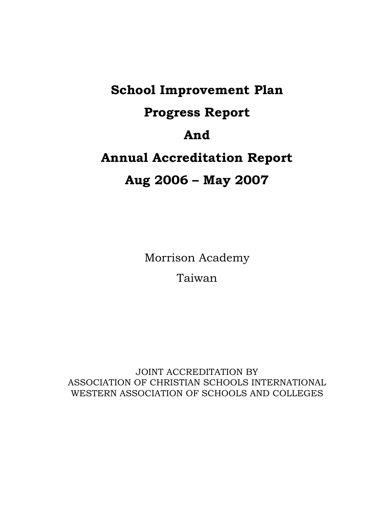# **School Improvement Plan Progress Report And Annual Accreditation Report Aug 2006 – May 2007**

Morrison Academy Taiwan

JOINT ACCREDITATION BY ASSOCIATION OF CHRISTIAN SCHOOLS INTERNATIONAL WESTERN ASSOCIATION OF SCHOOLS AND COLLEGES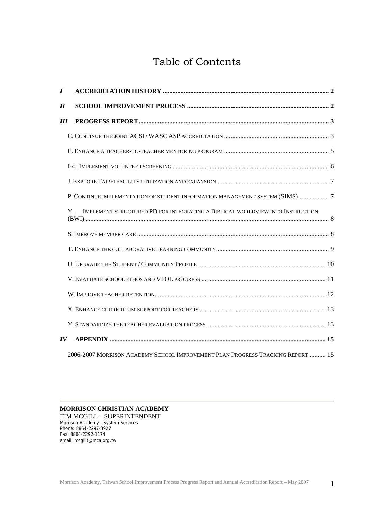# Table of Contents

| $\bm{I}$                   |                                                                                     |  |
|----------------------------|-------------------------------------------------------------------------------------|--|
| $\boldsymbol{\mathit{II}}$ |                                                                                     |  |
| III                        |                                                                                     |  |
|                            |                                                                                     |  |
|                            |                                                                                     |  |
|                            |                                                                                     |  |
|                            |                                                                                     |  |
|                            | P. CONTINUE IMPLEMENTATION OF STUDENT INFORMATION MANAGEMENT SYSTEM (SIMS)7         |  |
|                            | IMPLEMENT STRUCTURED PD FOR INTEGRATING A BIBLICAL WORLDVIEW INTO INSTRUCTION<br>Y. |  |
|                            |                                                                                     |  |
|                            |                                                                                     |  |
|                            |                                                                                     |  |
|                            |                                                                                     |  |
|                            |                                                                                     |  |
|                            |                                                                                     |  |
|                            |                                                                                     |  |
| $\boldsymbol{IV}$          |                                                                                     |  |
|                            | 2006-2007 MORRISON ACADEMY SCHOOL IMPROVEMENT PLAN PROGRESS TRACKING REPORT  15     |  |

## **MORRISON CHRISTIAN ACADEMY**

TIM MCGILL – SUPERINTENDENT Morrison Academy - System Services Phone: 8864-2297-3927 Fax: 8864-2292-1174 email: mcgillt@mca.org.tw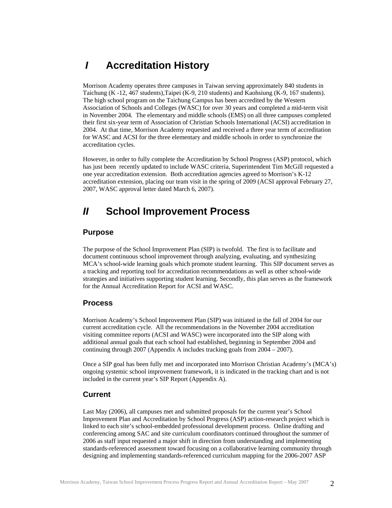# <span id="page-2-0"></span>*I* **Accreditation History**

Morrison Academy operates three campuses in Taiwan serving approximately 840 students in Taichung (K -12, 467 students),Taipei (K-9, 210 students) and Kaohsiung (K-9, 167 students). The high school program on the Taichung Campus has been accredited by the Western Association of Schools and Colleges (WASC) for over 30 years and completed a mid-term visit in November 2004. The elementary and middle schools (EMS) on all three campuses completed their first six-year term of Association of Christian Schools International (ACSI) accreditation in 2004. At that time, Morrison Academy requested and received a three year term of accreditation for WASC and ACSI for the three elementary and middle schools in order to synchronize the accreditation cycles.

However, in order to fully complete the Accreditation by School Progress (ASP) protocol, which has just been recently updated to include WASC criteria, Superintendent Tim McGill requested a one year accreditation extension. Both accreditation agencies agreed to Morrison's K-12 accreditation extension, placing our team visit in the spring of 2009 (ACSI approval February 27, 2007, WASC approval letter dated March 6, 2007).

# *II* **School Improvement Process**

## **Purpose**

The purpose of the School Improvement Plan (SIP) is twofold. The first is to facilitate and document continuous school improvement through analyzing, evaluating, and synthesizing MCA's school-wide learning goals which promote student learning. This SIP document serves as a tracking and reporting tool for accreditation recommendations as well as other school-wide strategies and initiatives supporting student learning. Secondly, this plan serves as the framework for the Annual Accreditation Report for ACSI and WASC.

## **Process**

Morrison Academy's School Improvement Plan (SIP) was initiated in the fall of 2004 for our current accreditation cycle. All the recommendations in the November 2004 accreditation visiting committee reports (ACSI and WASC) were incorporated into the SIP along with additional annual goals that each school had established, beginning in September 2004 and continuing through 2007 (Appendix A includes tracking goals from 2004 – 2007).

Once a SIP goal has been fully met and incorporated into Morrison Christian Academy's (MCA's) ongoing systemic school improvement framework, it is indicated in the tracking chart and is not included in the current year's SIP Report (Appendix A).

## **Current**

Last May (2006), all campuses met and submitted proposals for the current year's School Improvement Plan and Accreditation by School Progress (ASP) action-research project which is linked to each site's school-embedded professional development process. Online drafting and conferencing among SAC and site curriculum coordinators continued throughout the summer of 2006 as staff input requested a major shift in direction from understanding and implementing standards-referenced assessment toward focusing on a collaborative learning community through designing and implementing standards-referenced curriculum mapping for the 2006-2007 ASP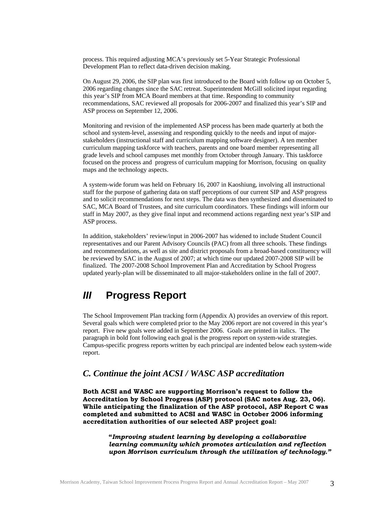<span id="page-3-0"></span>process. This required adjusting MCA's previously set 5-Year Strategic Professional Development Plan to reflect data-driven decision making.

On August 29, 2006, the SIP plan was first introduced to the Board with follow up on October 5, 2006 regarding changes since the SAC retreat. Superintendent McGill solicited input regarding this year's SIP from MCA Board members at that time. Responding to community recommendations, SAC reviewed all proposals for 2006-2007 and finalized this year's SIP and ASP process on September 12, 2006.

Monitoring and revision of the implemented ASP process has been made quarterly at both the school and system-level, assessing and responding quickly to the needs and input of majorstakeholders (instructional staff and curriculum mapping software designer). A ten member curriculum mapping taskforce with teachers, parents and one board member representing all grade levels and school campuses met monthly from October through January. This taskforce focused on the process and progress of curriculum mapping for Morrison, focusing on quality maps and the technology aspects.

A system-wide forum was held on February 16, 2007 in Kaoshiung, involving all instructional staff for the purpose of gathering data on staff perceptions of our current SIP and ASP progress and to solicit recommendations for next steps. The data was then synthesized and disseminated to SAC, MCA Board of Trustees, and site curriculum coordinators. These findings will inform our staff in May 2007, as they give final input and recommend actions regarding next year's SIP and ASP process.

 In addition, stakeholders' review/input in 2006-2007 has widened to include Student Council representatives and our Parent Advisory Councils (PAC) from all three schools. These findings and recommendations, as well as site and district proposals from a broad-based constituency will be reviewed by SAC in the August of 2007; at which time our updated 2007-2008 SIP will be finalized. The 2007-2008 School Improvement Plan and Accreditation by School Progress updated yearly-plan will be disseminated to all major-stakeholders online in the fall of 2007.

# *III* **Progress Report**

The School Improvement Plan tracking form (Appendix A) provides an overview of this report. Several goals which were completed prior to the May 2006 report are not covered in this year's report. Five new goals were added in September 2006. Goals are printed in italics. The paragraph in bold font following each goal is the progress report on system-wide strategies. Campus-specific progress reports written by each principal are indented below each system-wide report.

## *C. Continue the joint ACSI / WASC ASP accreditation*

**Both ACSI and WASC are supporting Morrison's request to follow the Accreditation by School Progress (ASP) protocol (SAC notes Aug. 23, 06). While anticipating the finalization of the ASP protocol, ASP Report C was completed and submitted to ACSI and WASC in October 2006 informing accreditation authorities of our selected ASP project goal:** 

> **"***Improving student learning by developing a collaborative learning community which promotes articulation and reflection upon Morrison curriculum through the utilization of technology."*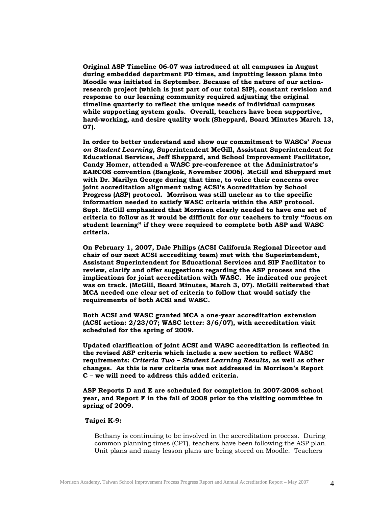**Original ASP Timeline 06-07 was introduced at all campuses in August during embedded department PD times, and inputting lesson plans into Moodle was initiated in September. Because of the nature of our actionresearch project (which is just part of our total SIP), constant revision and response to our learning community required adjusting the original timeline quarterly to reflect the unique needs of individual campuses while supporting system goals. Overall, teachers have been supportive, hard-working, and desire quality work (Sheppard, Board Minutes March 13, 07).** 

**In order to better understand and show our commitment to WASCs'** *Focus on Student Learning***, Superintendent McGill, Assistant Superintendent for Educational Services, Jeff Sheppard, and School Improvement Facilitator, Candy Homer, attended a WASC pre-conference at the Administrator's EARCOS convention (Bangkok, November 2006). McGill and Sheppard met with Dr. Marilyn George during that time, to voice their concerns over joint accreditation alignment using ACSI's Accreditation by School Progress (ASP) protocol. Morrison was still unclear as to the specific information needed to satisfy WASC criteria within the ASP protocol. Supt. McGill emphasized that Morrison clearly needed to have one set of criteria to follow as it would be difficult for our teachers to truly "focus on student learning" if they were required to complete both ASP and WASC criteria.** 

**On February 1, 2007, Dale Philips (ACSI California Regional Director and chair of our next ACSI accrediting team) met with the Superintendent, Assistant Superintendent for Educational Services and SIP Facilitator to review, clarify and offer suggestions regarding the ASP process and the implications for joint accreditation with WASC. He indicated our project was on track. (McGill, Board Minutes, March 3, 07). McGill reiterated that MCA needed one clear set of criteria to follow that would satisfy the requirements of both ACSI and WASC.** 

**Both ACSI and WASC granted MCA a one-year accreditation extension (ACSI action: 2/23/07; WASC letter: 3/6/07), with accreditation visit scheduled for the spring of 2009.** 

**Updated clarification of joint ACSI and WASC accreditation is reflected in the revised ASP criteria which include a new section to reflect WASC requirements:** *Criteria Two – Student Learning Results,* **as well as other changes. As this is new criteria was not addressed in Morrison's Report C – we will need to address this added criteria.** 

**ASP Reports D and E are scheduled for completion in 2007-2008 school year, and Report F in the fall of 2008 prior to the visiting committee in spring of 2009.** 

## **Taipei K-9:**

Bethany is continuing to be involved in the accreditation process. During common planning times (CPT), teachers have been following the ASP plan. Unit plans and many lesson plans are being stored on Moodle. Teachers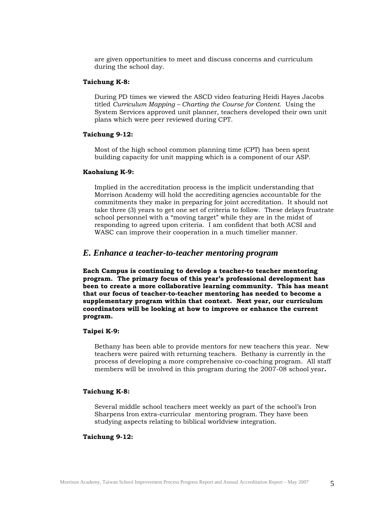<span id="page-5-0"></span>are given opportunities to meet and discuss concerns and curriculum during the school day.

## **Taichung K-8:**

During PD times we viewed the ASCD video featuring Heidi Hayes Jacobs titled *Curriculum Mapping – Charting the Course for Content*. Using the System Services approved unit planner, teachers developed their own unit plans which were peer reviewed during CPT.

## **Taichung 9-12:**

Most of the high school common planning time (CPT) has been spent building capacity for unit mapping which is a component of our ASP.

#### **Kaohsiung K-9:**

 Implied in the accreditation process is the implicit understanding that Morrison Academy will hold the accrediting agencies accountable for the commitments they make in preparing for joint accreditation. It should not take three (3) years to get one set of criteria to follow. These delays frustrate school personnel with a "moving target" while they are in the midst of responding to agreed upon criteria. I am confident that both ACSI and WASC can improve their cooperation in a much timelier manner.

## *E. Enhance a teacher-to-teacher mentoring program*

**Each Campus is continuing to develop a teacher-to teacher mentoring program. The primary focus of this year's professional development has been to create a more collaborative learning community. This has meant that our focus of teacher-to-teacher mentoring has needed to become a supplementary program within that context. Next year, our curriculum coordinators will be looking at how to improve or enhance the current program.** 

## **Taipei K-9:**

Bethany has been able to provide mentors for new teachers this year. New teachers were paired with returning teachers. Bethany is currently in the process of developing a more comprehensive co-coaching program. All staff members will be involved in this program during the 2007-08 school year**.** 

## **Taichung K-8:**

Several middle school teachers meet weekly as part of the school's Iron Sharpens Iron extra-curricular mentoring program. They have been studying aspects relating to biblical worldview integration.

## **Taichung 9-12:**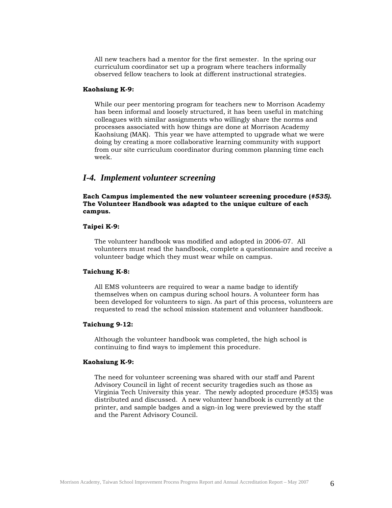<span id="page-6-0"></span>All new teachers had a mentor for the first semester. In the spring our curriculum coordinator set up a program where teachers informally observed fellow teachers to look at different instructional strategies.

## **Kaohsiung K-9:**

While our peer mentoring program for teachers new to Morrison Academy has been informal and loosely structured, it has been useful in matching colleagues with similar assignments who willingly share the norms and processes associated with how things are done at Morrison Academy Kaohsiung (MAK). This year we have attempted to upgrade what we were doing by creating a more collaborative learning community with support from our site curriculum coordinator during common planning time each week.

## *I-4. Implement volunteer screening*

**Each Campus implemented the new volunteer screening procedure (***#535).*  **The Volunteer Handbook was adapted to the unique culture of each campus.** 

## **Taipei K-9:**

The volunteer handbook was modified and adopted in 2006-07. All volunteers must read the handbook, complete a questionnaire and receive a volunteer badge which they must wear while on campus.

#### **Taichung K-8:**

All EMS volunteers are required to wear a name badge to identify themselves when on campus during school hours. A volunteer form has been developed for volunteers to sign. As part of this process, volunteers are requested to read the school mission statement and volunteer handbook.

## **Taichung 9-12:**

Although the volunteer handbook was completed, the high school is continuing to find ways to implement this procedure.

#### **Kaohsiung K-9:**

The need for volunteer screening was shared with our staff and Parent Advisory Council in light of recent security tragedies such as those as Virginia Tech University this year. The newly adopted procedure (#535) was distributed and discussed. A new volunteer handbook is currently at the printer, and sample badges and a sign-in log were previewed by the staff and the Parent Advisory Council.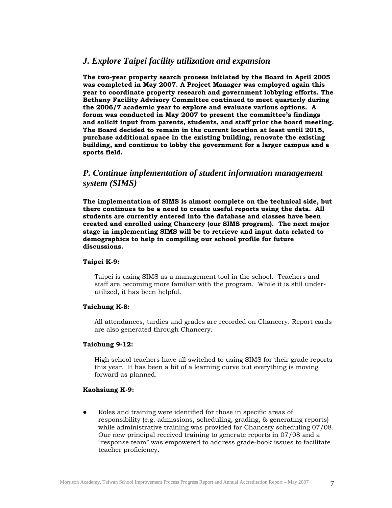## <span id="page-7-0"></span> *J. Explore Taipei facility utilization and expansion*

**The two-year property search process initiated by the Board in April 2005 was completed in May 2007. A Project Manager was employed again this year to coordinate property research and government lobbying efforts. The Bethany Facility Advisory Committee continued to meet quarterly during the 2006/7 academic year to explore and evaluate various options. A forum was conducted in May 2007 to present the committee's findings and solicit input from parents, students, and staff prior the board meeting. The Board decided to remain in the current location at least until 2015, purchase additional space in the existing building, renovate the existing building, and continue to lobby the government for a larger campus and a sports field.** 

## *P. Continue implementation of student information management system (SIMS)*

**The implementation of SIMS is almost complete on the technical side, but there continues to be a need to create useful reports using the data. All students are currently entered into the database and classes have been created and enrolled using Chancery (our SIMS program). The next major stage in implementing SIMS will be to retrieve and input data related to demographics to help in compiling our school profile for future discussions.** 

## **Taipei K-9:**

Taipei is using SIMS as a management tool in the school. Teachers and staff are becoming more familiar with the program. While it is still underutilized, it has been helpful.

## **Taichung K-8:**

All attendances, tardies and grades are recorded on Chancery. Report cards are also generated through Chancery.

## **Taichung 9-12:**

High school teachers have all switched to using SIMS for their grade reports this year. It has been a bit of a learning curve but everything is moving forward as planned.

## **Kaohsiung K-9:**

• Roles and training were identified for those in specific areas of responsibility (e.g. admissions, scheduling, grading, & generating reports) while administrative training was provided for Chancery scheduling 07/08. Our new principal received training to generate reports in 07/08 and a "response team" was empowered to address grade-book issues to facilitate teacher proficiency.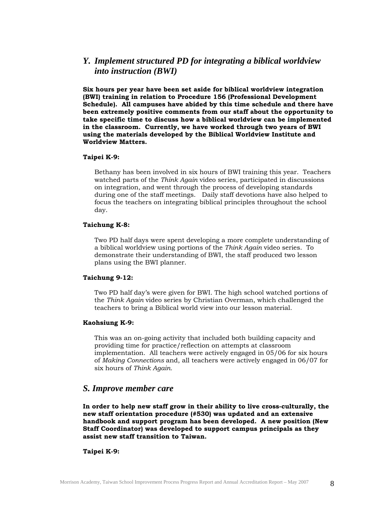## <span id="page-8-0"></span>*Y. Implement structured PD for integrating a biblical worldview into instruction (BWI)*

**Six hours per year have been set aside for biblical worldview integration (BWI) training in relation to Procedure 156 (Professional Development Schedule). All campuses have abided by this time schedule and there have been extremely positive comments from our staff about the opportunity to take specific time to discuss how a biblical worldview can be implemented in the classroom. Currently, we have worked through two years of BWI using the materials developed by the Biblical Worldview Institute and Worldview Matters.** 

#### **Taipei K-9:**

Bethany has been involved in six hours of BWI training this year. Teachers watched parts of the *Think Again* video series, participated in discussions on integration, and went through the process of developing standards during one of the staff meetings. Daily staff devotions have also helped to focus the teachers on integrating biblical principles throughout the school day.

#### **Taichung K-8:**

Two PD half days were spent developing a more complete understanding of a biblical worldview using portions of the *Think Again* video series. To demonstrate their understanding of BWI, the staff produced two lesson plans using the BWI planner.

#### **Taichung 9-12:**

Two PD half day's were given for BWI. The high school watched portions of the *Think Again* video series by Christian Overman, which challenged the teachers to bring a Biblical world view into our lesson material.

#### **Kaohsiung K-9:**

This was an on-going activity that included both building capacity and providing time for practice/reflection on attempts at classroom implementation. All teachers were actively engaged in 05/06 for six hours of *Making Connections* and, all teachers were actively engaged in 06/07 for six hours of *Think Again.* 

## *S. Improve member care*

**In order to help new staff grow in their ability to live cross-culturally, the new staff orientation procedure (#530) was updated and an extensive handbook and support program has been developed. A new position (New Staff Coordinator) was developed to support campus principals as they assist new staff transition to Taiwan.** 

## **Taipei K-9:**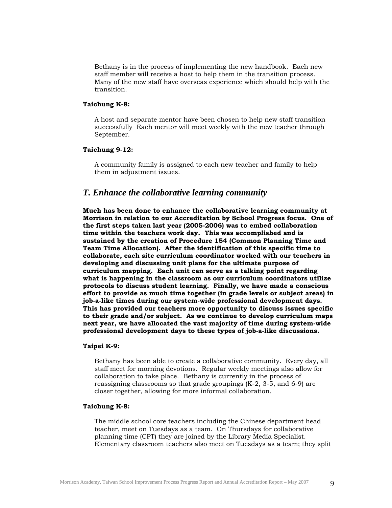<span id="page-9-0"></span>Bethany is in the process of implementing the new handbook. Each new staff member will receive a host to help them in the transition process. Many of the new staff have overseas experience which should help with the transition.

#### **Taichung K-8:**

A host and separate mentor have been chosen to help new staff transition successfully Each mentor will meet weekly with the new teacher through September.

## **Taichung 9-12:**

A community family is assigned to each new teacher and family to help them in adjustment issues.

## *T. Enhance the collaborative learning community*

**Much has been done to enhance the collaborative learning community at Morrison in relation to our Accreditation by School Progress focus. One of the first steps taken last year (2005-2006) was to embed collaboration time within the teachers work day. This was accomplished and is sustained by the creation of Procedure 154 (Common Planning Time and Team Time Allocation). After the identification of this specific time to collaborate, each site curriculum coordinator worked with our teachers in developing and discussing unit plans for the ultimate purpose of curriculum mapping. Each unit can serve as a talking point regarding what is happening in the classroom as our curriculum coordinators utilize protocols to discuss student learning. Finally, we have made a conscious effort to provide as much time together (in grade levels or subject areas) in job-a-like times during our system-wide professional development days. This has provided our teachers more opportunity to discuss issues specific to their grade and/or subject. As we continue to develop curriculum maps next year, we have allocated the vast majority of time during system-wide professional development days to these types of job-a-like discussions.** 

#### **Taipei K-9:**

Bethany has been able to create a collaborative community. Every day, all staff meet for morning devotions. Regular weekly meetings also allow for collaboration to take place. Bethany is currently in the process of reassigning classrooms so that grade groupings (K-2, 3-5, and 6-9) are closer together, allowing for more informal collaboration.

## **Taichung K-8:**

The middle school core teachers including the Chinese department head teacher, meet on Tuesdays as a team. On Thursdays for collaborative planning time (CPT) they are joined by the Library Media Specialist. Elementary classroom teachers also meet on Tuesdays as a team; they split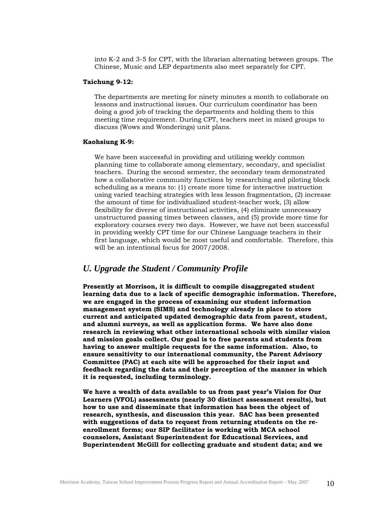<span id="page-10-0"></span>into K-2 and 3-5 for CPT, with the librarian alternating between groups. The Chinese, Music and LEP departments also meet separately for CPT.

## **Taichung 9-12:**

The departments are meeting for ninety minutes a month to collaborate on lessons and instructional issues. Our curriculum coordinator has been doing a good job of tracking the departments and holding them to this meeting time requirement. During CPT, teachers meet in mixed groups to discuss (Wows and Wonderings) unit plans.

#### **Kaohsiung K-9:**

We have been successful in providing and utilizing weekly common planning time to collaborate among elementary, secondary, and specialist teachers. During the second semester, the secondary team demonstrated how a collaborative community functions by researching and piloting block scheduling as a means to: (1) create more time for interactive instruction using varied teaching strategies with less lesson fragmentation, (2) increase the amount of time for individualized student-teacher work, (3) allow flexibility for diverse of instructional activities, (4) eliminate unnecessary unstructured passing times between classes, and (5) provide more time for exploratory courses every two days. However, we have not been successful in providing weekly CPT time for our Chinese Language teachers in their first language, which would be most useful and comfortable. Therefore, this will be an intentional focus for 2007/2008.

## *U. Upgrade the Student / Community Profile*

**Presently at Morrison, it is difficult to compile disaggregated student learning data due to a lack of specific demographic information. Therefore, we are engaged in the process of examining our student information management system (SIMS) and technology already in place to store current and anticipated updated demographic data from parent, student, and alumni surveys, as well as application forms. We have also done research in reviewing what other international schools with similar vision and mission goals collect. Our goal is to free parents and students from having to answer multiple requests for the same information. Also, to ensure sensitivity to our international community, the Parent Advisory Committee (PAC) at each site will be approached for their input and feedback regarding the data and their perception of the manner in which it is requested, including terminology.** 

**We have a wealth of data available to us from past year's Vision for Our Learners (VFOL) assessments (nearly 30 distinct assessment results), but how to use and disseminate that information has been the object of research, synthesis, and discussion this year. SAC has been presented with suggestions of data to request from returning students on the reenrollment forms; our SIP facilitator is working with MCA school counselors, Assistant Superintendent for Educational Services, and Superintendent McGill for collecting graduate and student data; and we**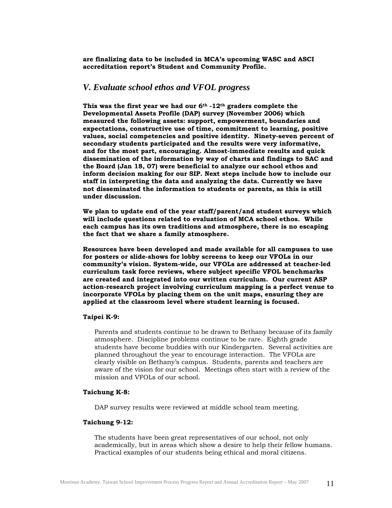<span id="page-11-0"></span>**are finalizing data to be included in MCA's upcoming WASC and ASCI accreditation report's Student and Community Profile.** 

## *V. Evaluate school ethos and VFOL progress*

**This was the first year we had our 6th -12th graders complete the Developmental Assets Profile (DAP) survey (November 2006) which measured the following assets: support, empowerment, boundaries and expectations, constructive use of time, commitment to learning, positive values, social competencies and positive identity. Ninety-seven percent of secondary students participated and the results were very informative, and for the most part, encouraging. Almost-immediate results and quick dissemination of the information by way of charts and findings to SAC and the Board (Jan 18, 07) were beneficial to analyze our school ethos and inform decision making for our SIP. Next steps include how to include our staff in interpreting the data and analyzing the data. Currently we have not disseminated the information to students or parents, as this is still under discussion.** 

**We plan to update end of the year staff/parent/and student surveys which will include questions related to evaluation of MCA school ethos. While each campus has its own traditions and atmosphere, there is no escaping the fact that we share a family atmosphere.** 

**Resources have been developed and made available for all campuses to use for posters or slide-shows for lobby screens to keep our VFOLs in our community's vision. System-wide, our VFOLs are addressed at teacher-led curriculum task force reviews, where subject specific VFOL benchmarks are created and integrated into our written curriculum. Our current ASP action-research project involving curriculum mapping is a perfect venue to incorporate VFOLs by placing them on the unit maps, ensuring they are applied at the classroom level where student learning is focused.** 

## **Taipei K-9:**

Parents and students continue to be drawn to Bethany because of its family atmosphere. Discipline problems continue to be rare. Eighth grade students have become buddies with our Kindergarten. Several activities are planned throughout the year to encourage interaction. The VFOLs are clearly visible on Bethany's campus. Students, parents and teachers are aware of the vision for our school. Meetings often start with a review of the mission and VFOLs of our school.

#### **Taichung K-8:**

DAP survey results were reviewed at middle school team meeting.

## **Taichung 9-12:**

 The students have been great representatives of our school, not only academically, but in areas which show a desire to help their fellow humans. Practical examples of our students being ethical and moral citizens.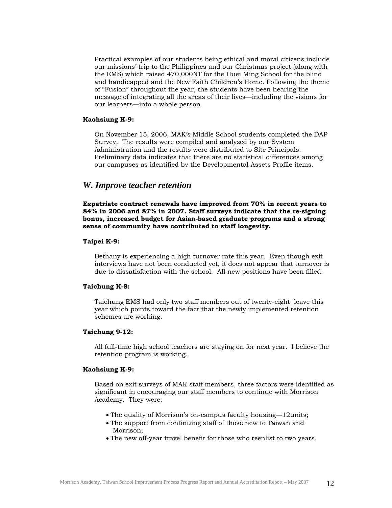<span id="page-12-0"></span>Practical examples of our students being ethical and moral citizens include our missions' trip to the Philippines and our Christmas project (along with the EMS) which raised 470,000NT for the Huei Ming School for the blind and handicapped and the New Faith Children's Home. Following the theme of "Fusion" throughout the year, the students have been hearing the message of integrating all the areas of their lives—including the visions for our learners—into a whole person.

## **Kaohsiung K-9:**

 On November 15, 2006, MAK's Middle School students completed the DAP Survey. The results were compiled and analyzed by our System Administration and the results were distributed to Site Principals. Preliminary data indicates that there are no statistical differences among our campuses as identified by the Developmental Assets Profile items.

## *W. Improve teacher retention*

**Expatriate contract renewals have improved from 70% in recent years to 84% in 2006 and 87% in 2007. Staff surveys indicate that the re-signing bonus, increased budget for Asian-based graduate programs and a strong sense of community have contributed to staff longevity.** 

## **Taipei K-9:**

Bethany is experiencing a high turnover rate this year. Even though exit interviews have not been conducted yet, it does not appear that turnover is due to dissatisfaction with the school. All new positions have been filled.

## **Taichung K-8:**

Taichung EMS had only two staff members out of twenty-eight leave this year which points toward the fact that the newly implemented retention schemes are working.

## **Taichung 9-12:**

All full-time high school teachers are staying on for next year. I believe the retention program is working.

#### **Kaohsiung K-9:**

Based on exit surveys of MAK staff members, three factors were identified as significant in encouraging our staff members to continue with Morrison Academy. They were:

- The quality of Morrison's on-campus faculty housing—12units;
- The support from continuing staff of those new to Taiwan and Morrison;
- The new off-year travel benefit for those who reenlist to two years.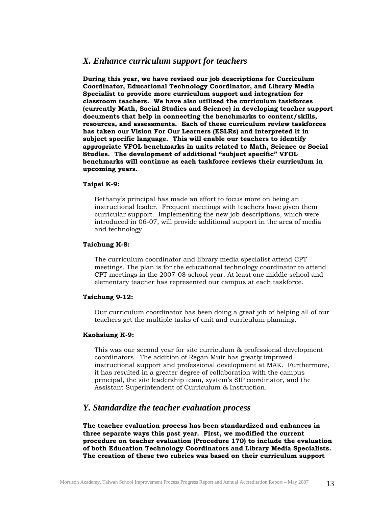## <span id="page-13-0"></span>*X. Enhance curriculum support for teachers*

**During this year, we have revised our job descriptions for Curriculum Coordinator, Educational Technology Coordinator, and Library Media Specialist to provide more curriculum support and integration for classroom teachers. We have also utilized the curriculum taskforces (currently Math, Social Studies and Science) in developing teacher support documents that help in connecting the benchmarks to content/skills, resources, and assessments. Each of these curriculum review taskforces has taken our Vision For Our Learners (ESLRs) and interpreted it in subject specific language. This will enable our teachers to identify appropriate VFOL benchmarks in units related to Math, Science or Social Studies. The development of additional "subject specific" VFOL benchmarks will continue as each taskforce reviews their curriculum in upcoming years.** 

## **Taipei K-9:**

Bethany's principal has made an effort to focus more on being an instructional leader. Frequent meetings with teachers have given them curricular support. Implementing the new job descriptions, which were introduced in 06-07, will provide additional support in the area of media and technology.

## **Taichung K-8:**

The curriculum coordinator and library media specialist attend CPT meetings. The plan is for the educational technology coordinator to attend CPT meetings in the 2007-08 school year. At least one middle school and elementary teacher has represented our campus at each taskforce.

## **Taichung 9-12:**

Our curriculum coordinator has been doing a great job of helping all of our teachers get the multiple tasks of unit and curriculum planning.

## **Kaohsiung K-9:**

This was our second year for site curriculum & professional development coordinators. The addition of Regan Muir has greatly improved instructional support and professional development at MAK. Furthermore, it has resulted in a greater degree of collaboration with the campus principal, the site leadership team, system's SIP coordinator, and the Assistant Superintendent of Curriculum & Instruction.

## *Y. Standardize the teacher evaluation process*

**The teacher evaluation process has been standardized and enhances in three separate ways this past year. First, we modified the current procedure on teacher evaluation (Procedure 170) to include the evaluation of both Education Technology Coordinators and Library Media Specialists. The creation of these two rubrics was based on their curriculum support**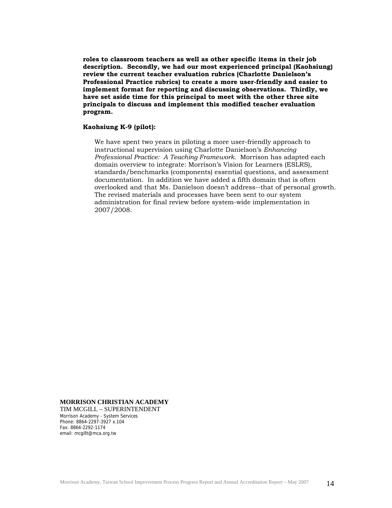**roles to classroom teachers as well as other specific items in their job description. Secondly, we had our most experienced principal (Kaohsiung) review the current teacher evaluation rubrics (Charlotte Danielson's Professional Practice rubrics) to create a more user-friendly and easier to implement format for reporting and discussing observations. Thirdly, we have set aside time for this principal to meet with the other three site principals to discuss and implement this modified teacher evaluation program.** 

## **Kaohsiung K-9 (pilot):**

We have spent two years in piloting a more user-friendly approach to instructional supervision using Charlotte Danielson's *Enhancing Professional Practice: A Teaching Framework.* Morrison has adapted each domain overview to integrate: Morrison's Vision for Learners (ESLRS), standards/benchmarks (components) essential questions, and assessment documentation. In addition we have added a fifth domain that is often overlooked and that Ms. Danielson doesn't address--that of personal growth. The revised materials and processes have been sent to our system administration for final review before system-wide implementation in 2007/2008.

#### **MORRISON CHRISTIAN ACADEMY**

TIM MCGILL – SUPERINTENDENT Morrison Academy - System Services Phone: 8864-2297-3927 x.104 Fax: 8864-2292-1174 email: mcgillt@mca.org.tw